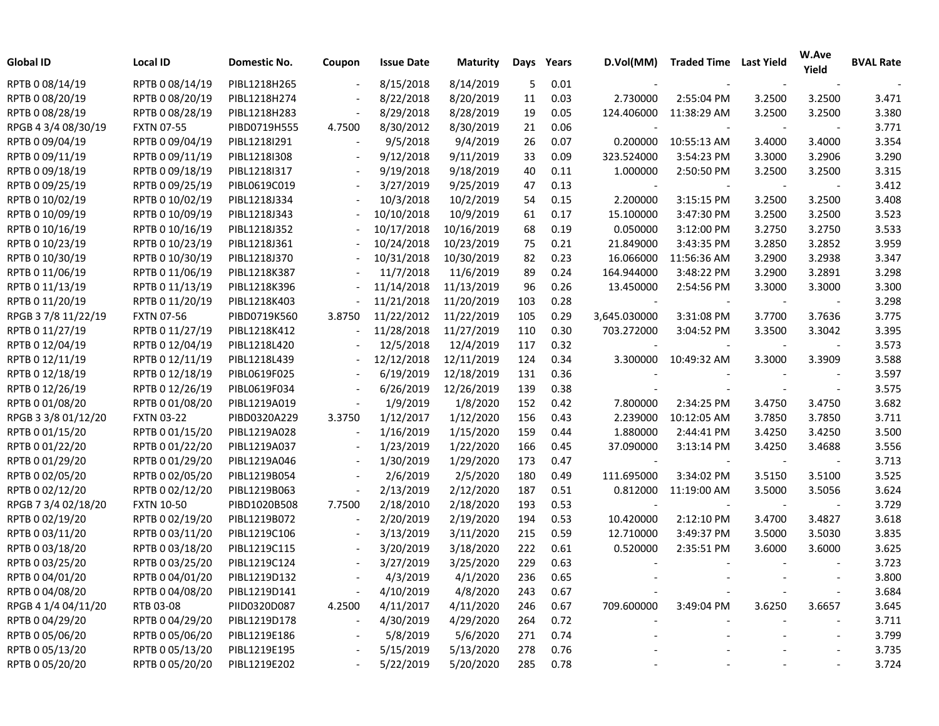| Global ID           | <b>Local ID</b>   | Domestic No. | Coupon                   | <b>Issue Date</b> | <b>Maturity</b> | Days | Years | D.Vol(MM)                | <b>Traded Time Last Yield</b> |        | W.Ave<br>Yield | <b>BVAL Rate</b> |
|---------------------|-------------------|--------------|--------------------------|-------------------|-----------------|------|-------|--------------------------|-------------------------------|--------|----------------|------------------|
| RPTB 0 08/14/19     | RPTB 0 08/14/19   | PIBL1218H265 |                          | 8/15/2018         | 8/14/2019       | 5    | 0.01  |                          |                               |        |                |                  |
| RPTB 0 08/20/19     | RPTB 0 08/20/19   | PIBL1218H274 |                          | 8/22/2018         | 8/20/2019       | 11   | 0.03  | 2.730000                 | 2:55:04 PM                    | 3.2500 | 3.2500         | 3.471            |
| RPTB 0 08/28/19     | RPTB 0 08/28/19   | PIBL1218H283 |                          | 8/29/2018         | 8/28/2019       | 19   | 0.05  | 124.406000               | 11:38:29 AM                   | 3.2500 | 3.2500         | 3.380            |
| RPGB 4 3/4 08/30/19 | <b>FXTN 07-55</b> | PIBD0719H555 | 4.7500                   | 8/30/2012         | 8/30/2019       | 21   | 0.06  |                          |                               |        |                | 3.771            |
| RPTB 0 09/04/19     | RPTB 0 09/04/19   | PIBL1218I291 |                          | 9/5/2018          | 9/4/2019        | 26   | 0.07  | 0.200000                 | 10:55:13 AM                   | 3.4000 | 3.4000         | 3.354            |
| RPTB 0 09/11/19     | RPTB 0 09/11/19   | PIBL1218I308 |                          | 9/12/2018         | 9/11/2019       | 33   | 0.09  | 323.524000               | 3:54:23 PM                    | 3.3000 | 3.2906         | 3.290            |
| RPTB 0 09/18/19     | RPTB 0 09/18/19   | PIBL1218I317 |                          | 9/19/2018         | 9/18/2019       | 40   | 0.11  | 1.000000                 | 2:50:50 PM                    | 3.2500 | 3.2500         | 3.315            |
| RPTB 0 09/25/19     | RPTB 0 09/25/19   | PIBL0619C019 |                          | 3/27/2019         | 9/25/2019       | 47   | 0.13  | $\overline{\phantom{a}}$ |                               |        |                | 3.412            |
| RPTB 0 10/02/19     | RPTB 0 10/02/19   | PIBL1218J334 |                          | 10/3/2018         | 10/2/2019       | 54   | 0.15  | 2.200000                 | 3:15:15 PM                    | 3.2500 | 3.2500         | 3.408            |
| RPTB 0 10/09/19     | RPTB 0 10/09/19   | PIBL1218J343 |                          | 10/10/2018        | 10/9/2019       | 61   | 0.17  | 15.100000                | 3:47:30 PM                    | 3.2500 | 3.2500         | 3.523            |
| RPTB 0 10/16/19     | RPTB 0 10/16/19   | PIBL1218J352 |                          | 10/17/2018        | 10/16/2019      | 68   | 0.19  | 0.050000                 | 3:12:00 PM                    | 3.2750 | 3.2750         | 3.533            |
| RPTB 0 10/23/19     | RPTB 0 10/23/19   | PIBL1218J361 |                          | 10/24/2018        | 10/23/2019      | 75   | 0.21  | 21.849000                | 3:43:35 PM                    | 3.2850 | 3.2852         | 3.959            |
| RPTB 0 10/30/19     | RPTB 0 10/30/19   | PIBL1218J370 |                          | 10/31/2018        | 10/30/2019      | 82   | 0.23  | 16.066000                | 11:56:36 AM                   | 3.2900 | 3.2938         | 3.347            |
| RPTB 0 11/06/19     | RPTB 0 11/06/19   | PIBL1218K387 |                          | 11/7/2018         | 11/6/2019       | 89   | 0.24  | 164.944000               | 3:48:22 PM                    | 3.2900 | 3.2891         | 3.298            |
| RPTB 0 11/13/19     | RPTB 0 11/13/19   | PIBL1218K396 |                          | 11/14/2018        | 11/13/2019      | 96   | 0.26  | 13.450000                | 2:54:56 PM                    | 3.3000 | 3.3000         | 3.300            |
| RPTB 0 11/20/19     | RPTB 0 11/20/19   | PIBL1218K403 |                          | 11/21/2018        | 11/20/2019      | 103  | 0.28  |                          |                               |        |                | 3.298            |
| RPGB 3 7/8 11/22/19 | <b>FXTN 07-56</b> | PIBD0719K560 | 3.8750                   | 11/22/2012        | 11/22/2019      | 105  | 0.29  | 3,645.030000             | 3:31:08 PM                    | 3.7700 | 3.7636         | 3.775            |
| RPTB 0 11/27/19     | RPTB 0 11/27/19   | PIBL1218K412 |                          | 11/28/2018        | 11/27/2019      | 110  | 0.30  | 703.272000               | 3:04:52 PM                    | 3.3500 | 3.3042         | 3.395            |
| RPTB 0 12/04/19     | RPTB 0 12/04/19   | PIBL1218L420 |                          | 12/5/2018         | 12/4/2019       | 117  | 0.32  |                          |                               |        |                | 3.573            |
| RPTB 0 12/11/19     | RPTB 0 12/11/19   | PIBL1218L439 |                          | 12/12/2018        | 12/11/2019      | 124  | 0.34  | 3.300000                 | 10:49:32 AM                   | 3.3000 | 3.3909         | 3.588            |
| RPTB 0 12/18/19     | RPTB 0 12/18/19   | PIBL0619F025 |                          | 6/19/2019         | 12/18/2019      | 131  | 0.36  |                          |                               |        |                | 3.597            |
| RPTB 0 12/26/19     | RPTB 0 12/26/19   | PIBL0619F034 | $\overline{\phantom{a}}$ | 6/26/2019         | 12/26/2019      | 139  | 0.38  |                          |                               |        |                | 3.575            |
| RPTB 0 01/08/20     | RPTB 0 01/08/20   | PIBL1219A019 | $\overline{\phantom{a}}$ | 1/9/2019          | 1/8/2020        | 152  | 0.42  | 7.800000                 | 2:34:25 PM                    | 3.4750 | 3.4750         | 3.682            |
| RPGB 3 3/8 01/12/20 | <b>FXTN 03-22</b> | PIBD0320A229 | 3.3750                   | 1/12/2017         | 1/12/2020       | 156  | 0.43  | 2.239000                 | 10:12:05 AM                   | 3.7850 | 3.7850         | 3.711            |
| RPTB 0 01/15/20     | RPTB 0 01/15/20   | PIBL1219A028 | $\overline{\phantom{a}}$ | 1/16/2019         | 1/15/2020       | 159  | 0.44  | 1.880000                 | 2:44:41 PM                    | 3.4250 | 3.4250         | 3.500            |
| RPTB 0 01/22/20     | RPTB 0 01/22/20   | PIBL1219A037 | $\overline{\phantom{a}}$ | 1/23/2019         | 1/22/2020       | 166  | 0.45  | 37.090000                | $3:13:14$ PM                  | 3.4250 | 3.4688         | 3.556            |
| RPTB 0 01/29/20     | RPTB 0 01/29/20   | PIBL1219A046 |                          | 1/30/2019         | 1/29/2020       | 173  | 0.47  |                          |                               |        |                | 3.713            |
| RPTB 0 02/05/20     | RPTB 0 02/05/20   | PIBL1219B054 |                          | 2/6/2019          | 2/5/2020        | 180  | 0.49  | 111.695000               | 3:34:02 PM                    | 3.5150 | 3.5100         | 3.525            |
| RPTB 0 02/12/20     | RPTB 0 02/12/20   | PIBL1219B063 | $\overline{\phantom{a}}$ | 2/13/2019         | 2/12/2020       | 187  | 0.51  | 0.812000                 | 11:19:00 AM                   | 3.5000 | 3.5056         | 3.624            |
| RPGB 7 3/4 02/18/20 | <b>FXTN 10-50</b> | PIBD1020B508 | 7.7500                   | 2/18/2010         | 2/18/2020       | 193  | 0.53  |                          |                               |        |                | 3.729            |
| RPTB 0 02/19/20     | RPTB 0 02/19/20   | PIBL1219B072 | $\overline{\phantom{a}}$ | 2/20/2019         | 2/19/2020       | 194  | 0.53  | 10.420000                | 2:12:10 PM                    | 3.4700 | 3.4827         | 3.618            |
| RPTB 0 03/11/20     | RPTB 0 03/11/20   | PIBL1219C106 |                          | 3/13/2019         | 3/11/2020       | 215  | 0.59  | 12.710000                | 3:49:37 PM                    | 3.5000 | 3.5030         | 3.835            |
| RPTB 0 03/18/20     | RPTB 0 03/18/20   | PIBL1219C115 |                          | 3/20/2019         | 3/18/2020       | 222  | 0.61  | 0.520000                 | 2:35:51 PM                    | 3.6000 | 3.6000         | 3.625            |
| RPTB 0 03/25/20     | RPTB 0 03/25/20   | PIBL1219C124 |                          | 3/27/2019         | 3/25/2020       | 229  | 0.63  |                          |                               |        |                | 3.723            |
| RPTB 0 04/01/20     | RPTB 0 04/01/20   | PIBL1219D132 |                          | 4/3/2019          | 4/1/2020        | 236  | 0.65  |                          |                               |        |                | 3.800            |
| RPTB 0 04/08/20     | RPTB 0 04/08/20   | PIBL1219D141 |                          | 4/10/2019         | 4/8/2020        | 243  | 0.67  |                          |                               |        |                | 3.684            |
| RPGB 4 1/4 04/11/20 | RTB 03-08         | PIID0320D087 | 4.2500                   | 4/11/2017         | 4/11/2020       | 246  | 0.67  | 709.600000               | 3:49:04 PM                    | 3.6250 | 3.6657         | 3.645            |
| RPTB 0 04/29/20     | RPTB 0 04/29/20   | PIBL1219D178 | $\overline{\phantom{a}}$ | 4/30/2019         | 4/29/2020       | 264  | 0.72  |                          |                               |        |                | 3.711            |
| RPTB 0 05/06/20     | RPTB 0 05/06/20   | PIBL1219E186 |                          | 5/8/2019          | 5/6/2020        | 271  | 0.74  |                          |                               |        |                | 3.799            |
| RPTB 0 05/13/20     | RPTB 0 05/13/20   | PIBL1219E195 |                          | 5/15/2019         | 5/13/2020       | 278  | 0.76  |                          |                               |        |                | 3.735            |
| RPTB 0 05/20/20     | RPTB 0 05/20/20   | PIBL1219E202 |                          | 5/22/2019         | 5/20/2020       | 285  | 0.78  |                          |                               |        |                | 3.724            |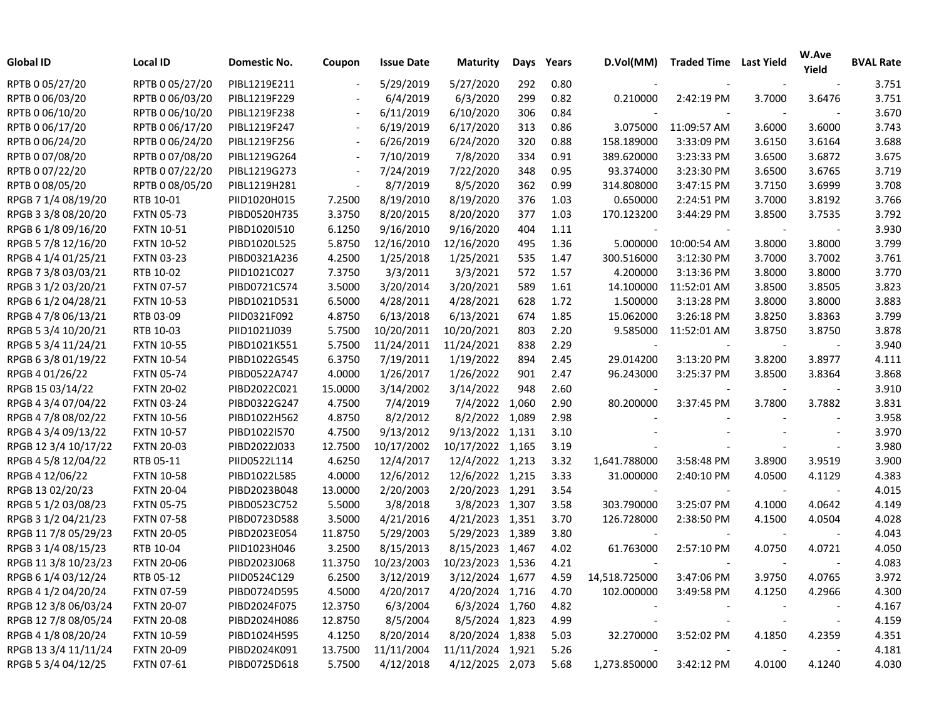| <b>Global ID</b>     | Local ID          | Domestic No. | Coupon                   | <b>Issue Date</b> | <b>Maturity</b>  | Days  | Years | D.Vol(MM)     | <b>Traded Time Last Yield</b> |        | W.Ave<br>Yield           | <b>BVAL Rate</b> |
|----------------------|-------------------|--------------|--------------------------|-------------------|------------------|-------|-------|---------------|-------------------------------|--------|--------------------------|------------------|
| RPTB 0 05/27/20      | RPTB 0 05/27/20   | PIBL1219E211 | $\overline{\phantom{a}}$ | 5/29/2019         | 5/27/2020        | 292   | 0.80  |               |                               |        |                          | 3.751            |
| RPTB 0 06/03/20      | RPTB 0 06/03/20   | PIBL1219F229 |                          | 6/4/2019          | 6/3/2020         | 299   | 0.82  | 0.210000      | 2:42:19 PM                    | 3.7000 | 3.6476                   | 3.751            |
| RPTB 0 06/10/20      | RPTB 0 06/10/20   | PIBL1219F238 |                          | 6/11/2019         | 6/10/2020        | 306   | 0.84  |               |                               |        |                          | 3.670            |
| RPTB 0 06/17/20      | RPTB 0 06/17/20   | PIBL1219F247 |                          | 6/19/2019         | 6/17/2020        | 313   | 0.86  | 3.075000      | 11:09:57 AM                   | 3.6000 | 3.6000                   | 3.743            |
| RPTB 0 06/24/20      | RPTB 0 06/24/20   | PIBL1219F256 |                          | 6/26/2019         | 6/24/2020        | 320   | 0.88  | 158.189000    | 3:33:09 PM                    | 3.6150 | 3.6164                   | 3.688            |
| RPTB 0 07/08/20      | RPTB 0 07/08/20   | PIBL1219G264 |                          | 7/10/2019         | 7/8/2020         | 334   | 0.91  | 389.620000    | 3:23:33 PM                    | 3.6500 | 3.6872                   | 3.675            |
| RPTB 0 07/22/20      | RPTB 0 07/22/20   | PIBL1219G273 |                          | 7/24/2019         | 7/22/2020        | 348   | 0.95  | 93.374000     | 3:23:30 PM                    | 3.6500 | 3.6765                   | 3.719            |
| RPTB 0 08/05/20      | RPTB 0 08/05/20   | PIBL1219H281 |                          | 8/7/2019          | 8/5/2020         | 362   | 0.99  | 314.808000    | 3:47:15 PM                    | 3.7150 | 3.6999                   | 3.708            |
| RPGB 7 1/4 08/19/20  | RTB 10-01         | PIID1020H015 | 7.2500                   | 8/19/2010         | 8/19/2020        | 376   | 1.03  | 0.650000      | 2:24:51 PM                    | 3.7000 | 3.8192                   | 3.766            |
| RPGB 3 3/8 08/20/20  | <b>FXTN 05-73</b> | PIBD0520H735 | 3.3750                   | 8/20/2015         | 8/20/2020        | 377   | 1.03  | 170.123200    | 3:44:29 PM                    | 3.8500 | 3.7535                   | 3.792            |
| RPGB 6 1/8 09/16/20  | <b>FXTN 10-51</b> | PIBD1020I510 | 6.1250                   | 9/16/2010         | 9/16/2020        | 404   | 1.11  |               |                               |        |                          | 3.930            |
| RPGB 5 7/8 12/16/20  | <b>FXTN 10-52</b> | PIBD1020L525 | 5.8750                   | 12/16/2010        | 12/16/2020       | 495   | 1.36  | 5.000000      | 10:00:54 AM                   | 3.8000 | 3.8000                   | 3.799            |
| RPGB 4 1/4 01/25/21  | <b>FXTN 03-23</b> | PIBD0321A236 | 4.2500                   | 1/25/2018         | 1/25/2021        | 535   | 1.47  | 300.516000    | 3:12:30 PM                    | 3.7000 | 3.7002                   | 3.761            |
| RPGB 7 3/8 03/03/21  | RTB 10-02         | PIID1021C027 | 7.3750                   | 3/3/2011          | 3/3/2021         | 572   | 1.57  | 4.200000      | 3:13:36 PM                    | 3.8000 | 3.8000                   | 3.770            |
| RPGB 3 1/2 03/20/21  | <b>FXTN 07-57</b> | PIBD0721C574 | 3.5000                   | 3/20/2014         | 3/20/2021        | 589   | 1.61  | 14.100000     | 11:52:01 AM                   | 3.8500 | 3.8505                   | 3.823            |
| RPGB 6 1/2 04/28/21  | <b>FXTN 10-53</b> | PIBD1021D531 | 6.5000                   | 4/28/2011         | 4/28/2021        | 628   | 1.72  | 1.500000      | 3:13:28 PM                    | 3.8000 | 3.8000                   | 3.883            |
| RPGB 4 7/8 06/13/21  | RTB 03-09         | PIID0321F092 | 4.8750                   | 6/13/2018         | 6/13/2021        | 674   | 1.85  | 15.062000     | 3:26:18 PM                    | 3.8250 | 3.8363                   | 3.799            |
| RPGB 5 3/4 10/20/21  | RTB 10-03         | PIID1021J039 | 5.7500                   | 10/20/2011        | 10/20/2021       | 803   | 2.20  | 9.585000      | 11:52:01 AM                   | 3.8750 | 3.8750                   | 3.878            |
| RPGB 5 3/4 11/24/21  | <b>FXTN 10-55</b> | PIBD1021K551 | 5.7500                   | 11/24/2011        | 11/24/2021       | 838   | 2.29  |               |                               |        |                          | 3.940            |
| RPGB 6 3/8 01/19/22  | <b>FXTN 10-54</b> | PIBD1022G545 | 6.3750                   | 7/19/2011         | 1/19/2022        | 894   | 2.45  | 29.014200     | 3:13:20 PM                    | 3.8200 | 3.8977                   | 4.111            |
| RPGB 4 01/26/22      | <b>FXTN 05-74</b> | PIBD0522A747 | 4.0000                   | 1/26/2017         | 1/26/2022        | 901   | 2.47  | 96.243000     | 3:25:37 PM                    | 3.8500 | 3.8364                   | 3.868            |
| RPGB 15 03/14/22     | <b>FXTN 20-02</b> | PIBD2022C021 | 15.0000                  | 3/14/2002         | 3/14/2022        | 948   | 2.60  |               |                               |        |                          | 3.910            |
| RPGB 4 3/4 07/04/22  | <b>FXTN 03-24</b> | PIBD0322G247 | 4.7500                   | 7/4/2019          | 7/4/2022         | 1,060 | 2.90  | 80.200000     | 3:37:45 PM                    | 3.7800 | 3.7882                   | 3.831            |
| RPGB 4 7/8 08/02/22  | <b>FXTN 10-56</b> | PIBD1022H562 | 4.8750                   | 8/2/2012          | 8/2/2022         | 1,089 | 2.98  |               |                               |        |                          | 3.958            |
| RPGB 4 3/4 09/13/22  | <b>FXTN 10-57</b> | PIBD1022I570 | 4.7500                   | 9/13/2012         | 9/13/2022 1,131  |       | 3.10  |               |                               |        |                          | 3.970            |
| RPGB 12 3/4 10/17/22 | <b>FXTN 20-03</b> | PIBD2022J033 | 12.7500                  | 10/17/2002        | 10/17/2022 1,165 |       | 3.19  |               |                               |        |                          | 3.980            |
| RPGB 4 5/8 12/04/22  | RTB 05-11         | PIID0522L114 | 4.6250                   | 12/4/2017         | 12/4/2022        | 1,213 | 3.32  | 1,641.788000  | 3:58:48 PM                    | 3.8900 | 3.9519                   | 3.900            |
| RPGB 4 12/06/22      | <b>FXTN 10-58</b> | PIBD1022L585 | 4.0000                   | 12/6/2012         | 12/6/2022 1,215  |       | 3.33  | 31.000000     | 2:40:10 PM                    | 4.0500 | 4.1129                   | 4.383            |
| RPGB 13 02/20/23     | <b>FXTN 20-04</b> | PIBD2023B048 | 13.0000                  | 2/20/2003         | 2/20/2023        | 1,291 | 3.54  |               |                               |        |                          | 4.015            |
| RPGB 5 1/2 03/08/23  | <b>FXTN 05-75</b> | PIBD0523C752 | 5.5000                   | 3/8/2018          | 3/8/2023 1,307   |       | 3.58  | 303.790000    | 3:25:07 PM                    | 4.1000 | 4.0642                   | 4.149            |
| RPGB 3 1/2 04/21/23  | <b>FXTN 07-58</b> | PIBD0723D588 | 3.5000                   | 4/21/2016         | 4/21/2023        | 1,351 | 3.70  | 126.728000    | 2:38:50 PM                    | 4.1500 | 4.0504                   | 4.028            |
| RPGB 11 7/8 05/29/23 | <b>FXTN 20-05</b> | PIBD2023E054 | 11.8750                  | 5/29/2003         | 5/29/2023 1,389  |       | 3.80  |               |                               |        |                          | 4.043            |
| RPGB 3 1/4 08/15/23  | RTB 10-04         | PIID1023H046 | 3.2500                   | 8/15/2013         | 8/15/2023 1,467  |       | 4.02  | 61.763000     | 2:57:10 PM                    | 4.0750 | 4.0721                   | 4.050            |
| RPGB 11 3/8 10/23/23 | <b>FXTN 20-06</b> | PIBD2023J068 | 11.3750                  | 10/23/2003        | 10/23/2023 1,536 |       | 4.21  |               |                               |        |                          | 4.083            |
| RPGB 6 1/4 03/12/24  | RTB 05-12         | PIID0524C129 | 6.2500                   | 3/12/2019         | 3/12/2024 1,677  |       | 4.59  | 14,518.725000 | 3:47:06 PM                    | 3.9750 | 4.0765                   | 3.972            |
| RPGB 4 1/2 04/20/24  | <b>FXTN 07-59</b> | PIBD0724D595 | 4.5000                   | 4/20/2017         | 4/20/2024 1,716  |       | 4.70  | 102.000000    | 3:49:58 PM                    | 4.1250 | 4.2966                   | 4.300            |
| RPGB 12 3/8 06/03/24 | <b>FXTN 20-07</b> | PIBD2024F075 | 12.3750                  | 6/3/2004          | 6/3/2024 1,760   |       | 4.82  |               |                               |        |                          | 4.167            |
| RPGB 12 7/8 08/05/24 | <b>FXTN 20-08</b> | PIBD2024H086 | 12.8750                  | 8/5/2004          | 8/5/2024 1,823   |       | 4.99  |               |                               |        | $\overline{\phantom{a}}$ | 4.159            |
| RPGB 4 1/8 08/20/24  | <b>FXTN 10-59</b> | PIBD1024H595 | 4.1250                   | 8/20/2014         | 8/20/2024 1,838  |       | 5.03  | 32.270000     | 3:52:02 PM                    | 4.1850 | 4.2359                   | 4.351            |
| RPGB 13 3/4 11/11/24 | <b>FXTN 20-09</b> | PIBD2024K091 | 13.7500                  | 11/11/2004        | 11/11/2024 1,921 |       | 5.26  |               |                               |        |                          | 4.181            |
| RPGB 5 3/4 04/12/25  | <b>FXTN 07-61</b> | PIBD0725D618 | 5.7500                   | 4/12/2018         | 4/12/2025 2,073  |       | 5.68  | 1,273.850000  | 3:42:12 PM                    | 4.0100 | 4.1240                   | 4.030            |